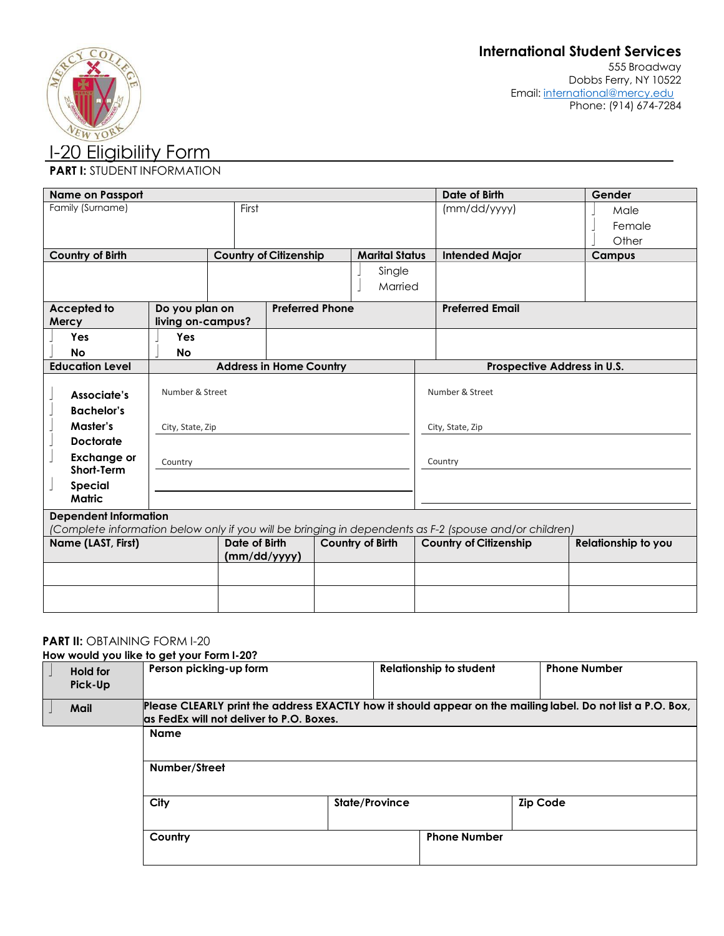

## **PART I: STUDENT INFORMATION**

| <b>Name on Passport</b>                                                                                |                          |               |                                |                       |                  | Date of Birth                 | Gender                     |  |
|--------------------------------------------------------------------------------------------------------|--------------------------|---------------|--------------------------------|-----------------------|------------------|-------------------------------|----------------------------|--|
| Family (Surname)                                                                                       |                          | First         |                                |                       |                  | (mm/dd/yyyy)                  | Male                       |  |
|                                                                                                        |                          |               |                                |                       |                  |                               | Female                     |  |
|                                                                                                        |                          |               |                                |                       |                  |                               | Other                      |  |
| <b>Country of Birth</b>                                                                                |                          |               | <b>Country of Citizenship</b>  | <b>Marital Status</b> |                  | <b>Intended Major</b>         | <b>Campus</b>              |  |
|                                                                                                        |                          |               |                                | Single                |                  |                               |                            |  |
|                                                                                                        |                          |               |                                | Married               |                  |                               |                            |  |
|                                                                                                        |                          |               |                                |                       |                  |                               |                            |  |
| Accepted to                                                                                            | Do you plan on           |               | <b>Preferred Phone</b>         |                       |                  | <b>Preferred Email</b>        |                            |  |
| Mercy<br>Yes                                                                                           | living on-campus?<br>Yes |               |                                |                       |                  |                               |                            |  |
|                                                                                                        |                          |               |                                |                       |                  |                               |                            |  |
| No<br><b>Education Level</b>                                                                           | <b>No</b>                |               |                                |                       |                  |                               |                            |  |
|                                                                                                        |                          |               | <b>Address in Home Country</b> |                       |                  | Prospective Address in U.S.   |                            |  |
| Associate's                                                                                            | Number & Street          |               |                                |                       |                  | Number & Street               |                            |  |
| <b>Bachelor's</b>                                                                                      |                          |               |                                |                       |                  |                               |                            |  |
| Master's                                                                                               | City, State, Zip         |               |                                |                       | City, State, Zip |                               |                            |  |
| <b>Doctorate</b>                                                                                       |                          |               |                                |                       |                  |                               |                            |  |
| <b>Exchange or</b><br><b>Short-Term</b>                                                                | Country                  |               |                                |                       |                  | Country                       |                            |  |
| <b>Special</b>                                                                                         |                          |               |                                |                       |                  |                               |                            |  |
| <b>Matric</b>                                                                                          |                          |               |                                |                       |                  |                               |                            |  |
| <b>Dependent Information</b>                                                                           |                          |               |                                |                       |                  |                               |                            |  |
| (Complete information below only if you will be bringing in dependents as F-2 (spouse and/or children) |                          |               |                                |                       |                  |                               |                            |  |
| Name (LAST, First)                                                                                     |                          | Date of Birth |                                | Country of Birth      |                  | <b>Country of Citizenship</b> | <b>Relationship to you</b> |  |
|                                                                                                        |                          | (mm/dd/yyyy)  |                                |                       |                  |                               |                            |  |
|                                                                                                        |                          |               |                                |                       |                  |                               |                            |  |
|                                                                                                        |                          |               |                                |                       |                  |                               |                            |  |
|                                                                                                        |                          |               |                                |                       |                  |                               |                            |  |

#### **PART II: OBTAINING FORM I-20**

**How would you like to get your Form I-20?**

|                            | $10W$ would you like to get your form $-20$ :                                                                                                            |                |                                |                     |  |
|----------------------------|----------------------------------------------------------------------------------------------------------------------------------------------------------|----------------|--------------------------------|---------------------|--|
| <b>Hold for</b><br>Pick-Up | Person picking-up form                                                                                                                                   |                | <b>Relationship to student</b> | <b>Phone Number</b> |  |
| Mail                       | Please CLEARLY print the address EXACTLY how it should appear on the mailing label. Do not list a P.O. Box,<br>las FedEx will not deliver to P.O. Boxes. |                |                                |                     |  |
|                            | <b>Name</b>                                                                                                                                              |                |                                |                     |  |
|                            | Number/Street                                                                                                                                            |                |                                |                     |  |
|                            | City                                                                                                                                                     | State/Province |                                | <b>Zip Code</b>     |  |
|                            | Country                                                                                                                                                  |                | <b>Phone Number</b>            |                     |  |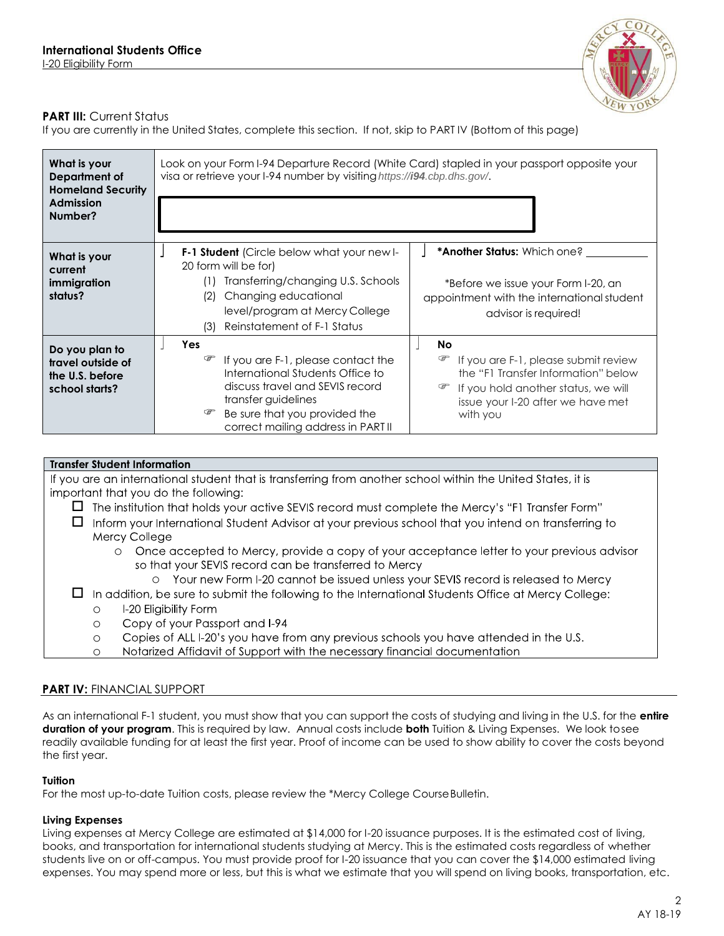

## **PART III:** Current Status

If you are currently in the United States, complete this section. If not, skip to PART IV (Bottom of this page)

| What is your<br>Department of<br><b>Homeland Security</b><br><b>Admission</b><br>Number? | Look on your Form I-94 Departure Record (White Card) stapled in your passport opposite your<br>visa or retrieve your I-94 number by visiting https://i94.cbp.dhs.gov/.                                                        |                                                                                                                                                                                |  |  |
|------------------------------------------------------------------------------------------|-------------------------------------------------------------------------------------------------------------------------------------------------------------------------------------------------------------------------------|--------------------------------------------------------------------------------------------------------------------------------------------------------------------------------|--|--|
| What is your<br>current<br>immigration<br>status?                                        | <b>F-1 Student</b> (Circle below what your new I-<br>20 form will be for)<br>Transferring/changing U.S. Schools<br>(1)<br>Changing educational<br>(2)<br>level/program at Mercy College<br>Reinstatement of F-1 Status<br>(3) | * <b>Another Status:</b> Which one?<br>*Before we issue your Form I-20, an<br>appointment with the international student<br>advisor is required!                               |  |  |
| Do you plan to<br>travel outside of<br>the U.S. before<br>school starts?                 | Yes<br>If you are F-1, please contact the<br>International Students Office to<br>discuss travel and SEVIS record<br>transfer guidelines<br>Be sure that you provided the<br>correct mailing address in PART II                | No<br>☞<br>If you are F-1, please submit review<br>the "F1 Transfer Information" below<br>If you hold another status, we will<br>issue your I-20 after we have met<br>with you |  |  |

## **Transfer Student Information**

If you are an international student that is transferring from another school within the United States, it is important that you do the following:

- $\Box$  The institution that holds your active SEVIS record must complete the Mercy's "F1 Transfer Form"
- $\Box$  Inform your International Student Advisor at your previous school that you intend on transferring to Mercy College
	- o Once accepted to Mercy, provide a copy of your acceptance letter to your previous advisor so that your SEVIS record can be transferred to Mercy
		- o Your new Form I-20 cannot be issued unless your SEVIS record is released to Mercy
- $\Box$  In addition, be sure to submit the following to the International Students Office at Mercy College:
	- I-20 Eligibility Form o
	- Copy of your Passport and I-94 o
	- Copies of ALL I-20's you have from any previous schools you have attended in the U.S. o
	- Notarized Affidavit of Support with the necessary financial documentation o

## **PART IV:** FINANCIAL SUPPORT

As an international F-1 student, you must show that you can support the costs of studying and living in the U.S. for the **entire duration of your program**. This is required by law. Annual costs include **both** Tuition & Living Expenses. We look tosee readily available funding for at least the first year. Proof of income can be used to show ability to cover the costs beyond the first year.

## **Tuition**

For the most up-to-date Tuition costs, please review the \*Mercy College CourseBulletin.

## **Living Expenses**

Living expenses at Mercy College are estimated at \$14,000 for I-20 issuance purposes. It is the estimated cost of living, books, and transportation for international students studying at Mercy. This is the estimated costs regardless of whether students live on or off-campus. You must provide proof for I-20 issuance that you can cover the \$14,000 estimated living expenses. You may spend more or less, but this is what we estimate that you will spend on living books, transportation, etc.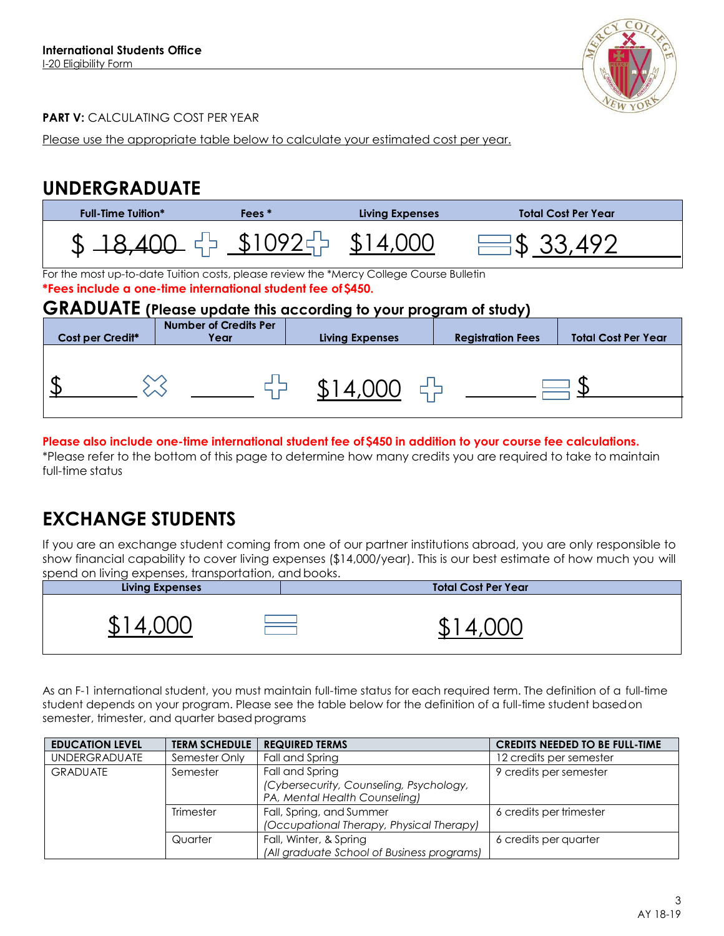

## **PART V: CALCULATING COST PER YEAR**

Please use the appropriate table below to calculate your estimated cost per year.

# **UNDERGRADUATE**

| Fees <sup>*</sup><br><b>Full-Time Tuition*</b>                                                                                                                                                                                     |                                      | <b>Living Expenses</b>                     |                          | <b>Total Cost Per Year</b> |  |
|------------------------------------------------------------------------------------------------------------------------------------------------------------------------------------------------------------------------------------|--------------------------------------|--------------------------------------------|--------------------------|----------------------------|--|
|                                                                                                                                                                                                                                    |                                      | $$18,400$ $$\frac{10925}{10935}$ $$14,000$ | $\equiv$ \$ 33,492       |                            |  |
| For the most up-to-date Tuition costs, please review the *Mercy College Course Bulletin<br>*Fees include a one-time international student fee of \$450.<br><b>GRADUATE</b> (Please update this according to your program of study) |                                      |                                            |                          |                            |  |
| Cost per Credit*                                                                                                                                                                                                                   | <b>Number of Credits Per</b><br>Year | <b>Living Expenses</b>                     | <b>Registration Fees</b> | <b>Total Cost Per Year</b> |  |
|                                                                                                                                                                                                                                    |                                      | $$14,000$ $\leftarrow$                     |                          |                            |  |
|                                                                                                                                                                                                                                    |                                      |                                            |                          |                            |  |

**Please also include one-time international student fee of \$450 in addition to your course fee calculations.** 

\*Please refer to the bottom of this page to determine how many credits you are required to take to maintain full-time status

# **EXCHANGE STUDENTS**

If you are an exchange student coming from one of our partner institutions abroad, you are only responsible to show financial capability to cover living expenses (\$14,000/year). This is our best estimate of how much you will spend on living expenses, transportation, andbooks.

| <b>Living Expenses</b> | <b>Total Cost Per Year</b> |
|------------------------|----------------------------|
| JD.                    |                            |

As an F-1 international student, you must maintain full-time status for each required term. The definition of a full-time student depends on your program. Please see the table below for the definition of a full-time student basedon semester, trimester, and quarter based programs

| <b>EDUCATION LEVEL</b>      | <b>TERM SCHEDULE</b> | <b>REQUIRED TERMS</b>                      | <b>CREDITS NEEDED TO BE FULL-TIME</b> |
|-----------------------------|----------------------|--------------------------------------------|---------------------------------------|
| <b>UNDERGRADUATE</b>        | Semester Only        | Fall and Spring                            | 12 credits per semester               |
| <b>GRADUATE</b><br>Semester |                      | Fall and Spring                            | 9 credits per semester                |
|                             |                      | (Cybersecurity, Counseling, Psychology,    |                                       |
|                             |                      | PA, Mental Health Counseling)              |                                       |
|                             | <b>Trimester</b>     | Fall, Spring, and Summer                   | 6 credits per trimester               |
|                             |                      | (Occupational Therapy, Physical Therapy)   |                                       |
|                             | Quarter              | Fall, Winter, & Spring                     | 6 credits per quarter                 |
|                             |                      | (All graduate School of Business programs) |                                       |